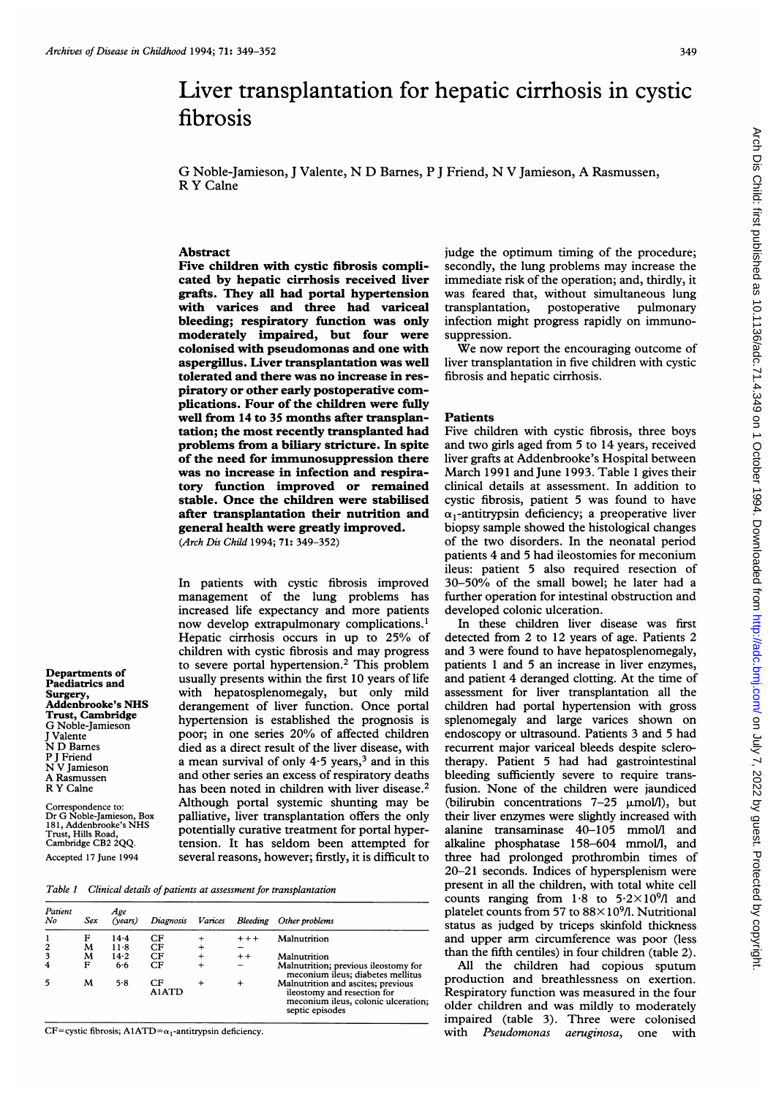# Liver transplantation for hepatic cirrhosis in cystic fibrosis

G Noble-Jamieson, <sup>J</sup> Valente, N D Barnes, P <sup>J</sup> Friend, N V Jamieson, A Rasmussen, R Y Calne

## Abstract

Five children with cystic fibrosis complicated by hepatic cirrhosis received liver grafts. They all had portal hypertension with varices and three had variceal bleeding; respiratory function was only moderately impaired, but four were colonised with pseudomonas and one with aspergillus. Liver transplantation was well tolerated and there was no increase in respiratory or other early postoperative complications. Four of the children were fully well from 14 to 35 months after transplantation; the most recently transplanted had problems from a biliary stricture. In spite of the need for immunosuppression there was no increase in infection and respiratory fimction improved or remained stable. Once the children were stabilised after transplantation their nutrition and general health were greatly improved. (Arch Dis Child 1994; 71: 349-352)

In patients with cystic fibrosis improved management of the lung problems has increased life expectancy and more patients now develop extrapulmonary complications.' Hepatic cirrhosis occurs in up to 25% of children with cystic fibrosis and may progress to severe portal hypertension.2 This problem usually presents within the first 10 years of life with hepatosplenomegaly, but only mild derangement of liver function. Once portal hypertension is established the prognosis is poor; in one series 20% of affected children died as a direct result of the liver disease, with a mean survival of only  $4.5$  years,<sup>3</sup> and in this and other series an excess of respiratory deaths has been noted in children with liver disease.<sup>2</sup> Although portal systemic shunting may be palliative, liver transplantation offers the only potentially curative treatment for portal hypertension. It has seldom been attempted for several reasons, however; firstly, it is difficult to

Table 1 Clinical details of patients at assessment for transplantation

| Patient<br>No  | Sex    | Age<br>(vears)  | Diagnosis   | Varices |         | Bleeding Other problems                                                                                                     |
|----------------|--------|-----------------|-------------|---------|---------|-----------------------------------------------------------------------------------------------------------------------------|
| $\overline{c}$ | F<br>м | $14 - 4$<br>118 | CF<br>CF    |         | $+ + +$ | Malnutrition                                                                                                                |
| 3              | м      | 14.2            | CF          |         | $+ +$   | Malnutrition                                                                                                                |
| 4              | F      | 6.6             | CF          |         |         | Malnutrition; previous ileostomy for<br>meconium ileus; diabetes mellitus                                                   |
| 5              | м      | 5.8             | CF<br>A1ATD |         | $^{+}$  | Malnutrition and ascites; previous<br>ileostomy and resection for<br>meconium ileus, colonic ulceration;<br>septic episodes |

CF=cystic fibrosis; A1ATD= $\alpha_1$ -antitrypsin deficiency.

Departments of Paediatrics and Surgery,

Addenbrooke's NHS Trust, Cambridge G Noble-Jamieson J Valente N D Barnes P <sup>J</sup> Friend N V Jamieson A Rasmussen R Y Calne

Correspondence to: Dr G Noble-Jamieson, Box 181, Addenbrooke's NHS Trust, Hills Road, Cambridge CB2 2QQ. Accepted 17 June 1994

judge the optimum timing of the procedure; secondly, the lung problems may increase the immediate risk of the operation; and, thirdly, it was feared that, without simultaneous lung transplantation, postoperative pulmonary infection might progress rapidly on immunosuppression.

We now report the encouraging outcome of liver transplantation in five children with cystic fibrosis and hepatic cirrhosis.

#### **Patients**

Five children with cystic fibrosis, three boys and two girls aged from 5 to 14 years, received liver grafts at Addenbrooke's Hospital between March 1991 and June 1993. Table <sup>1</sup> gives their clinical details at assessment. In addition to cystic fibrosis, patient 5 was found to have  $\alpha_1$ -antitrypsin deficiency; a preoperative liver biopsy sample showed the histological changes of the two disorders. In the neonatal period patients 4 and 5 had ileostomies for meconium ileus: patient 5 also required resection of 30-50% of the small bowel; he later had <sup>a</sup> further operation for intestinal obstruction and developed colonic ulceration.

In these children liver disease was first detected from 2 to 12 years of age. Patients 2 and 3 were found to have hepatosplenomegaly, patients <sup>1</sup> and 5 an increase in liver enzymes, and patient 4 deranged clotting. At the time of assessment for liver transplantation all the children had portal hypertension with gross splenomegaly and large varices shown on endoscopy or ultrasound. Patients 3 and 5 had recurrent major variceal bleeds despite sclerotherapy. Patient 5 had had gastrointestinal bleeding sufficiently severe to require transfusion. None of the children were jaundiced (bilirubin concentrations  $7-25$   $\mu$ mol/l), but their liver enzymes were slightly increased with alanine transaminase 40-105 mmol/l and alkaline phosphatase 158-604 mmol/l, and three had prolonged prothrombin times of 20-21 seconds. Indices of hypersplenism were present in all the children, with total white cell counts ranging from  $1.8$  to  $5.2 \times 10^{9}$ /l and platelet counts from 57 to  $88\times10^{9}$ /l. Nutritional status as judged by triceps skinfold thickness and upper arm circumference was poor (less than the fifth centiles) in four children (table 2).

All the children had copious sputum production and breathlessness on exertion. Respiratory function was measured in the four older children and was mildly to moderately impaired (table 3). Three were colonised with Pseudomonas aeruginosa, one with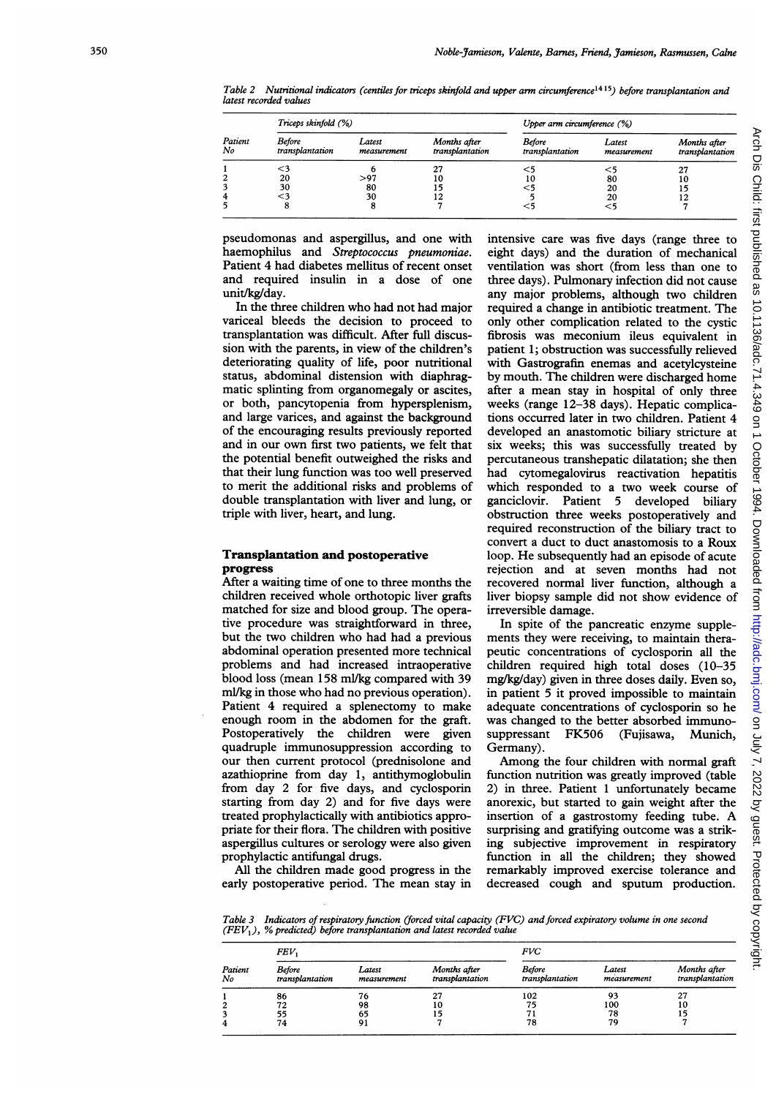Table 2 Nutritional indicators (centiles for triceps skinfold and upper arm circumference<sup>1415</sup>) before transplantation and latest recorded values

| Patient<br>No | Triceps skinfold (%)      |                       |                                 | Upper arm circumference (%)      |                       |                                 |  |
|---------------|---------------------------|-----------------------|---------------------------------|----------------------------------|-----------------------|---------------------------------|--|
|               | Before<br>transplantation | Latest<br>measurement | Months after<br>transplantation | <b>Before</b><br>transplantation | Latest<br>measurement | Months after<br>transplantation |  |
|               |                           |                       | 27                              |                                  |                       | 27                              |  |
|               | 20                        | > 97                  | 10                              | 10                               | 80                    | 10                              |  |
|               | 30                        | 80                    |                                 |                                  | 20                    |                                 |  |
| 4             |                           | 30                    |                                 |                                  | 20                    |                                 |  |
|               |                           |                       |                                 | ⊂.                               | $<$ 5                 |                                 |  |

pseudomonas and aspergillus, and one with haemophilus and Streptococcus pneumoniae. Patient 4 had diabetes mellitus of recent onset and required insulin in a dose of one unit/kg/day.

In the three children who had not had major variceal bleeds the decision to proceed to transplantation was difficult. After full discussion with the parents, in view of the children's deteriorating quality of life, poor nutritional status, abdominal distension with diaphragmatic splinting from organomegaly or ascites, or both, pancytopenia from hypersplenism, and large varices, and against the background of the encouraging results previously reported and in our own first two patients, we felt that the potential benefit outweighed the risks and that their lung function was too well preserved to merit the additional risks and problems of double transplantation with liver and lung, or triple with liver, heart, and lung.

#### Transplantation and postoperative progress

After a waiting time of one to three months the children received whole orthotopic liver grafts matched for size and blood group. The operative procedure was straightforward in three, but the two children who had had <sup>a</sup> previous abdominal operation presented more technical problems and had increased intraoperative blood loss (mean 158 ml/kg compared with 39 ml/kg in those who had no previous operation). Patient 4 required a splenectomy to make enough room in the abdomen for the graft. Postoperatively the children were given quadruple immunosuppression according to our then current protocol (prednisolone and azathioprine from day 1, antithymoglobulin from day 2 for five days, and cyclosporin starting from day 2) and for five days were treated prophylactically with antibiotics appropriate for their flora. The children with positive aspergillus cultures or serology were also given prophylactic antifungal drugs.

All the children made good progress in the early postoperative period. The mean stay in

intensive care was five days (range three to eight days) and the duration of mechanical ventilation was short (from less than one to three days). Pulmonary infection did not cause any major problems, although two children required a change in antibiotic treatment. The only other complication related to the cystic fibrosis was meconium ileus equivalent in patient 1; obstruction was successfully relieved with Gastrografin enemas and acetylcysteine by mouth. The children were discharged home after a mean stay in hospital of only three weeks (range 12-38 days). Hepatic complications occurred later in two children. Patient 4 developed an anastomotic biliary stricture at six weeks; this was successfully treated by percutaneous transhepatic dilatation; she then had cytomegalovirus reactivation hepatitis which responded to a two week course of ganciclovir. Patient 5 developed biliary obstruction three weeks postoperatively and required reconstruction of the biliary tract to convert a duct to duct anastomosis to a Roux loop. He subsequently had an episode of acute rejection and at seven months had not recovered normal liver function, although a liver biopsy sample did not show evidence of irreversible damage.

In spite of the pancreatic enzyme supplements they were receiving, to maintain therapeutic concentrations of cyclosporin all the children required high total doses (10-35 mg/kg/day) given in three doses daily. Even so, in patient 5 it proved impossible to maintain adequate concentrations of cyclosporin so he was changed to the better absorbed immuno-<br>suppressant FK506 (Fujisawa, Munich, suppressant FK506 Germany).

Among the four children with normal graft function nutrition was greatly improved (table 2) in three. Patient <sup>1</sup> unfortunately became anorexic, but started to gain weight after the insertion of <sup>a</sup> gastrostomy feeding tube. A surprising and gratifying outcome was a striking subjective improvement in respiratory function in all the children; they showed remarkably improved exercise tolerance and decreased cough and sputum production.

Table 3 Indicators of respiratory function (forced vital capacity (FVC) and forced expiratory volume in one second  $(FEV, )$ , % predicted) before transplantation and latest recorded value

| Patient<br>No | FEV.                             |                       |                                 | <b>FVC</b>                       |                       |                                 |  |
|---------------|----------------------------------|-----------------------|---------------------------------|----------------------------------|-----------------------|---------------------------------|--|
|               | <b>Before</b><br>transplantation | Latest<br>measurement | Months after<br>transplantation | <b>Before</b><br>transplantation | Latest<br>measurement | Months after<br>transplantation |  |
|               | 86                               | 76                    | 27                              | 102                              | 93                    | 27                              |  |
|               | 72                               | 98                    | 10                              | 75                               | 100                   | 10                              |  |
|               | 55                               | 65                    | 15                              |                                  | 78                    | 15                              |  |
|               | 74                               | 91                    |                                 | 78                               | 79                    |                                 |  |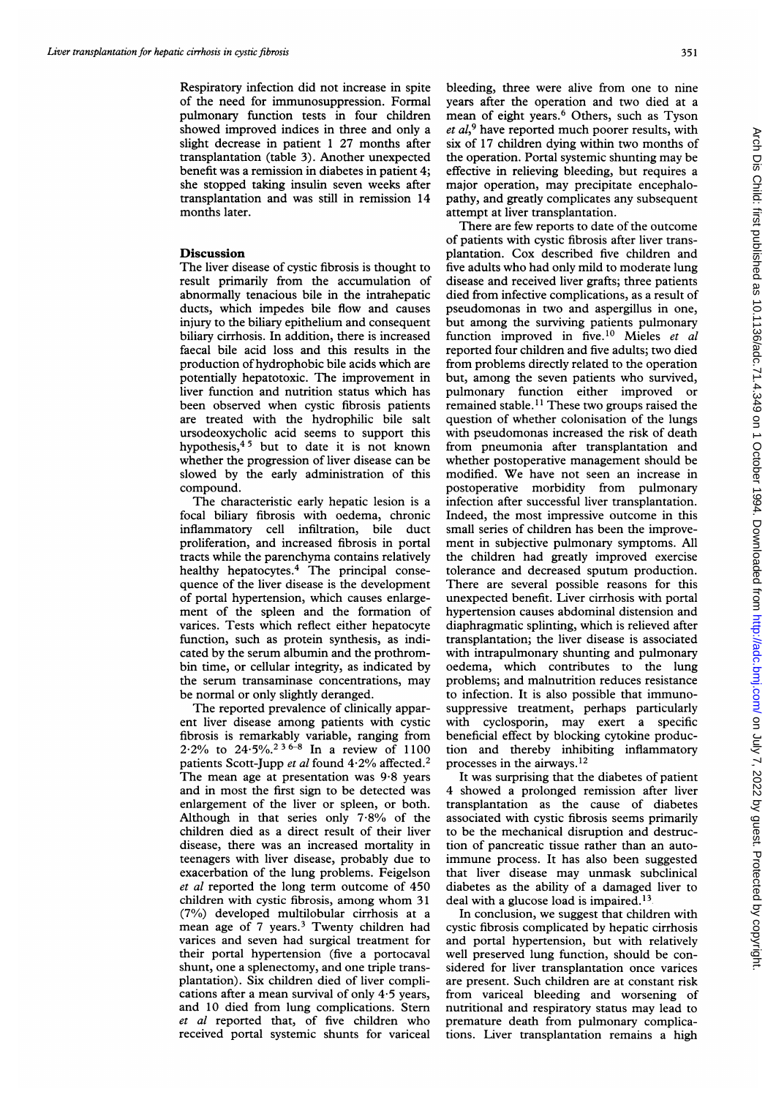Respiratory infection did not increase in spite of the need for immunosuppression. Formal pulmonary function tests in four children showed improved indices in three and only a slight decrease in patient <sup>1</sup> 27 months after transplantation (table 3). Another unexpected benefit was a remission in diabetes in patient 4; she stopped taking insulin seven weeks after transplantation and was still in remission 14 months later.

### Discussion

The liver disease of cystic fibrosis is thought to result primarily from the accumulation of abnormally tenacious bile in the intrahepatic ducts, which impedes bile flow and causes injury to the biliary epithelium and consequent biliary cirrhosis. In addition, there is increased faecal bile acid loss and this results in the production of hydrophobic bile acids which are potentially hepatotoxic. The improvement in liver function and nutrition status which has been observed when cystic fibrosis patients are treated with the hydrophilic bile salt ursodeoxycholic acid seems to support this hypothesis, $45$  but to date it is not known whether the progression of liver disease can be slowed by the early administration of this compound.

The characteristic early hepatic lesion is a focal biliary fibrosis with oedema, chronic inflammatory cell infiltration, bile duct proliferation, and increased fibrosis in portal tracts while the parenchyma contains relatively healthy hepatocytes.<sup>4</sup> The principal consequence of the liver disease is the development of portal hypertension, which causes enlargement of the spleen and the formation of varices. Tests which reflect either hepatocyte function, such as protein synthesis, as indicated by the serum albumin and the prothrombin time, or cellular integrity, as indicated by the serum transaminase concentrations, may be normal or only slightly deranged.

The reported prevalence of clinically apparent liver disease among patients with cystic fibrosis is remarkably variable, ranging from 2.2% to 24.5%.<sup>236-8</sup> In a review of 1100 patients Scott-Jupp et al found 4.2% affected.<sup>2</sup> The mean age at presentation was 9-8 years and in most the first sign to be detected was enlargement of the liver or spleen, or both. Although in that series only 7-8% of the children died as a direct result of their liver disease, there was an increased mortality in teenagers with liver disease, probably due to exacerbation of the lung problems. Feigelson et al reported the long term outcome of 450 children with cystic fibrosis, among whom <sup>31</sup> (7%) developed multilobular cirrhosis at a mean age of 7 years.<sup>3</sup> Twenty children had varices and seven had surgical treatment for their portal hypertension (five a portocaval shunt, one a splenectomy, and one triple transplantation). Six children died of liver complications after a mean survival of only 4-5 years, and 10 died from lung complications. Stem et al reported that, of five children who received portal systemic shunts for variceal

bleeding, three were alive from one to nine years after the operation and two died at a mean of eight years.<sup>6</sup> Others, such as Tyson  $et al.<sup>9</sup>$  have reported much poorer results, with six of 17 children dying within two months of the operation. Portal systemic shunting may be effective in relieving bleeding, but requires a major operation, may precipitate encephalopathy, and greatly complicates any subsequent attempt at liver transplantation.

There are few reports to date of the outcome of patients with cystic fibrosis after liver transplantation. Cox described five children and five adults who had only mild to moderate lung disease and received liver grafts; three patients died from infective complications, as a result of pseudomonas in two and aspergillus in one, but among the surviving patients pulmonary function improved in five.<sup>10</sup> Mieles et al reported four children and five adults; two died from problems directly related to the operation but, among the seven patients who survived, pulmonary function either improved or remained stable.<sup>11</sup> These two groups raised the question of whether colonisation of the lungs with pseudomonas increased the risk of death from pneumonia after transplantation and whether postoperative management should be modified. We have not seen an increase in postoperative morbidity from pulmonary infection after successful liver transplantation. Indeed, the most impressive outcome in this small series of children has been the improvement in subjective pulmonary symptoms. All the children had greatly improved exercise tolerance and decreased sputum production. There are several possible reasons for this unexpected benefit. Liver cirrhosis with portal hypertension causes abdominal distension and diaphragmatic splinting, which is relieved after transplantation; the liver disease is associated with intrapulmonary shunting and pulmonary oedema, which contributes to the lung problems; and malnutrition reduces resistance to infection. It is also possible that immunosuppressive treatment, perhaps particularly with cyclosporin, may exert <sup>a</sup> specific beneficial effect by blocking cytokine production and thereby inhibiting inflammatory processes in the airways. $12$ 

It was surprising that the diabetes of patient 4 showed a prolonged remission after liver transplantation as the cause of diabetes associated with cystic fibrosis seems primarily to be the mechanical disruption and destruction of pancreatic tissue rather than an autoimmune process. It has also been suggested that liver disease may unmask subclinical diabetes as the ability of a damaged liver to deal with a glucose load is impaired.<sup>13</sup>

In conclusion, we suggest that children with cystic fibrosis complicated by hepatic cirrhosis and portal hypertension, but with relatively well preserved lung function, should be considered for liver transplantation once varices are present. Such children are at constant risk from variceal bleeding and worsening of nutritional and respiratory status may lead to premature death from pulmonary complications. Liver transplantation remains a high